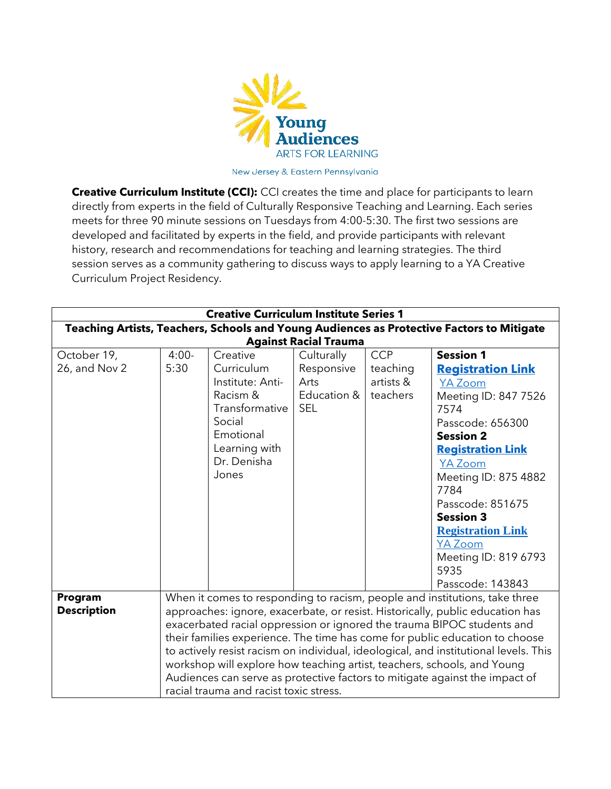

New Jersey & Eastern Pennsylvania

**Creative Curriculum Institute (CCI):** CCI creates the time and place for participants to learn directly from experts in the field of Culturally Responsive Teaching and Learning. Each series meets for three 90 minute sessions on Tuesdays from 4:00-5:30. The first two sessions are developed and facilitated by experts in the field, and provide participants with relevant history, research and recommendations for teaching and learning strategies. The third session serves as a community gathering to discuss ways to apply learning to a YA Creative Curriculum Project Residency.

| <b>Creative Curriculum Institute Series 1</b>                                             |                                                                                      |                  |             |            |                          |  |
|-------------------------------------------------------------------------------------------|--------------------------------------------------------------------------------------|------------------|-------------|------------|--------------------------|--|
| Teaching Artists, Teachers, Schools and Young Audiences as Protective Factors to Mitigate |                                                                                      |                  |             |            |                          |  |
| <b>Against Racial Trauma</b>                                                              |                                                                                      |                  |             |            |                          |  |
| October 19,                                                                               | $4:00-$                                                                              | Creative         | Culturally  | <b>CCP</b> | <b>Session 1</b>         |  |
| 26, and Nov 2                                                                             | 5:30                                                                                 | Curriculum       | Responsive  | teaching   | <b>Registration Link</b> |  |
|                                                                                           |                                                                                      | Institute: Anti- | Arts        | artists &  | <b>YA Zoom</b>           |  |
|                                                                                           |                                                                                      | Racism &         | Education & | teachers   | Meeting ID: 847 7526     |  |
|                                                                                           |                                                                                      | Transformative   | <b>SEL</b>  |            | 7574                     |  |
|                                                                                           |                                                                                      | Social           |             |            | Passcode: 656300         |  |
|                                                                                           |                                                                                      | Emotional        |             |            | <b>Session 2</b>         |  |
|                                                                                           |                                                                                      | Learning with    |             |            | <b>Registration Link</b> |  |
|                                                                                           |                                                                                      | Dr. Denisha      |             |            | <b>YA Zoom</b>           |  |
|                                                                                           |                                                                                      | Jones            |             |            | Meeting ID: 875 4882     |  |
|                                                                                           |                                                                                      |                  |             |            | 7784                     |  |
|                                                                                           |                                                                                      |                  |             |            | Passcode: 851675         |  |
|                                                                                           |                                                                                      |                  |             |            | <b>Session 3</b>         |  |
|                                                                                           |                                                                                      |                  |             |            | <b>Registration Link</b> |  |
|                                                                                           |                                                                                      |                  |             |            | <b>YA Zoom</b>           |  |
|                                                                                           |                                                                                      |                  |             |            | Meeting ID: 819 6793     |  |
|                                                                                           |                                                                                      |                  |             |            | 5935                     |  |
|                                                                                           |                                                                                      |                  |             |            | Passcode: 143843         |  |
| Program                                                                                   | When it comes to responding to racism, people and institutions, take three           |                  |             |            |                          |  |
| <b>Description</b>                                                                        | approaches: ignore, exacerbate, or resist. Historically, public education has        |                  |             |            |                          |  |
|                                                                                           | exacerbated racial oppression or ignored the trauma BIPOC students and               |                  |             |            |                          |  |
|                                                                                           | their families experience. The time has come for public education to choose          |                  |             |            |                          |  |
|                                                                                           | to actively resist racism on individual, ideological, and institutional levels. This |                  |             |            |                          |  |
|                                                                                           | workshop will explore how teaching artist, teachers, schools, and Young              |                  |             |            |                          |  |
|                                                                                           | Audiences can serve as protective factors to mitigate against the impact of          |                  |             |            |                          |  |
|                                                                                           | racial trauma and racist toxic stress.                                               |                  |             |            |                          |  |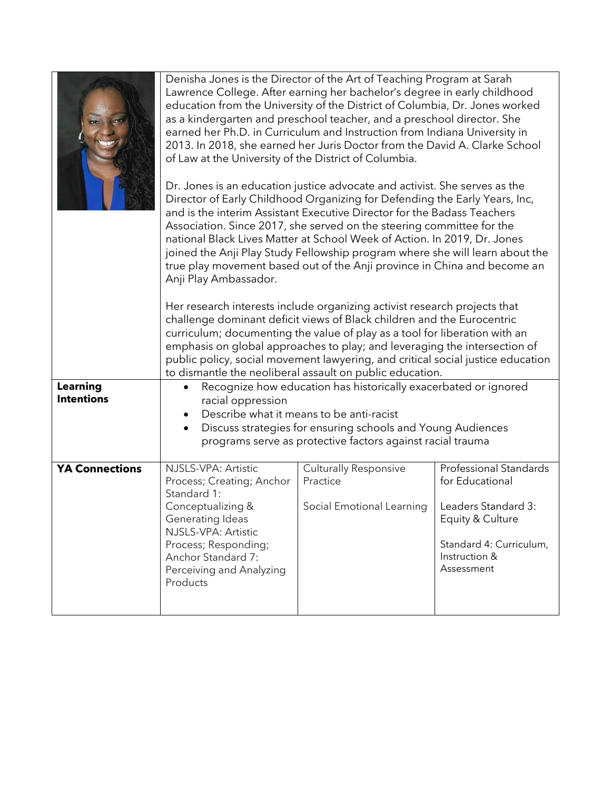|                                      | Denisha Jones is the Director of the Art of Teaching Program at Sarah<br>Lawrence College. After earning her bachelor's degree in early childhood<br>education from the University of the District of Columbia, Dr. Jones worked<br>as a kindergarten and preschool teacher, and a preschool director. She<br>earned her Ph.D. in Curriculum and Instruction from Indiana University in<br>2013. In 2018, she earned her Juris Doctor from the David A. Clarke School<br>of Law at the University of the District of Columbia.<br>Dr. Jones is an education justice advocate and activist. She serves as the<br>Director of Early Childhood Organizing for Defending the Early Years, Inc,<br>and is the interim Assistant Executive Director for the Badass Teachers<br>Association. Since 2017, she served on the steering committee for the<br>national Black Lives Matter at School Week of Action. In 2019, Dr. Jones<br>joined the Anji Play Study Fellowship program where she will learn about the<br>true play movement based out of the Anji province in China and become an<br>Anji Play Ambassador.<br>Her research interests include organizing activist research projects that<br>challenge dominant deficit views of Black children and the Eurocentric<br>curriculum; documenting the value of play as a tool for liberation with an<br>emphasis on global approaches to play; and leveraging the intersection of<br>public policy, social movement lawyering, and critical social justice education |                                                                       |                                                                                                                                                       |  |  |
|--------------------------------------|----------------------------------------------------------------------------------------------------------------------------------------------------------------------------------------------------------------------------------------------------------------------------------------------------------------------------------------------------------------------------------------------------------------------------------------------------------------------------------------------------------------------------------------------------------------------------------------------------------------------------------------------------------------------------------------------------------------------------------------------------------------------------------------------------------------------------------------------------------------------------------------------------------------------------------------------------------------------------------------------------------------------------------------------------------------------------------------------------------------------------------------------------------------------------------------------------------------------------------------------------------------------------------------------------------------------------------------------------------------------------------------------------------------------------------------------------------------------------------------------------------------------|-----------------------------------------------------------------------|-------------------------------------------------------------------------------------------------------------------------------------------------------|--|--|
| <b>Learning</b><br><b>Intentions</b> | to dismantle the neoliberal assault on public education.<br>Recognize how education has historically exacerbated or ignored<br>racial oppression                                                                                                                                                                                                                                                                                                                                                                                                                                                                                                                                                                                                                                                                                                                                                                                                                                                                                                                                                                                                                                                                                                                                                                                                                                                                                                                                                                     |                                                                       |                                                                                                                                                       |  |  |
|                                      | Describe what it means to be anti-racist<br>Discuss strategies for ensuring schools and Young Audiences<br>$\bullet$                                                                                                                                                                                                                                                                                                                                                                                                                                                                                                                                                                                                                                                                                                                                                                                                                                                                                                                                                                                                                                                                                                                                                                                                                                                                                                                                                                                                 |                                                                       |                                                                                                                                                       |  |  |
|                                      | programs serve as protective factors against racial trauma                                                                                                                                                                                                                                                                                                                                                                                                                                                                                                                                                                                                                                                                                                                                                                                                                                                                                                                                                                                                                                                                                                                                                                                                                                                                                                                                                                                                                                                           |                                                                       |                                                                                                                                                       |  |  |
| <b>YA Connections</b>                | NJSLS-VPA: Artistic<br>Process; Creating; Anchor<br>Standard 1:<br>Conceptualizing &<br>Generating Ideas<br>NJSLS-VPA: Artistic<br>Process; Responding;<br>Anchor Standard 7:<br>Perceiving and Analyzing<br>Products                                                                                                                                                                                                                                                                                                                                                                                                                                                                                                                                                                                                                                                                                                                                                                                                                                                                                                                                                                                                                                                                                                                                                                                                                                                                                                | <b>Culturally Responsive</b><br>Practice<br>Social Emotional Learning | <b>Professional Standards</b><br>for Educational<br>Leaders Standard 3:<br>Equity & Culture<br>Standard 4: Curriculum,<br>Instruction &<br>Assessment |  |  |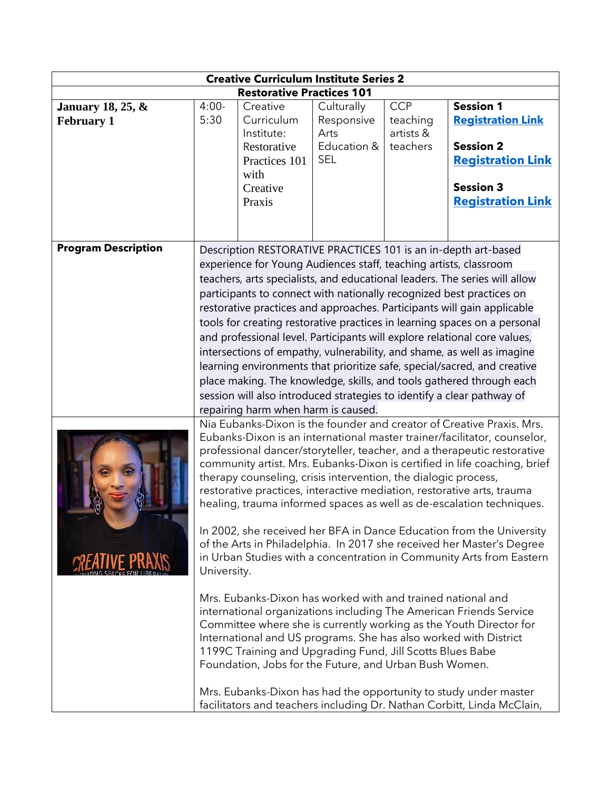| <b>Creative Curriculum Institute Series 2</b>     |                                                                                                                                                                                                                                                                                                                                                                                                                                                                                                                                                                                                                                                                                                                                                                       |                                                                                                                                                                                    |                                                               |                                                 |                                                                                                                                                                                                                                                                                                                                                                                                                                                                                                                                                                                                                                                                                                                                                                   |
|---------------------------------------------------|-----------------------------------------------------------------------------------------------------------------------------------------------------------------------------------------------------------------------------------------------------------------------------------------------------------------------------------------------------------------------------------------------------------------------------------------------------------------------------------------------------------------------------------------------------------------------------------------------------------------------------------------------------------------------------------------------------------------------------------------------------------------------|------------------------------------------------------------------------------------------------------------------------------------------------------------------------------------|---------------------------------------------------------------|-------------------------------------------------|-------------------------------------------------------------------------------------------------------------------------------------------------------------------------------------------------------------------------------------------------------------------------------------------------------------------------------------------------------------------------------------------------------------------------------------------------------------------------------------------------------------------------------------------------------------------------------------------------------------------------------------------------------------------------------------------------------------------------------------------------------------------|
| <b>Restorative Practices 101</b>                  |                                                                                                                                                                                                                                                                                                                                                                                                                                                                                                                                                                                                                                                                                                                                                                       |                                                                                                                                                                                    |                                                               |                                                 |                                                                                                                                                                                                                                                                                                                                                                                                                                                                                                                                                                                                                                                                                                                                                                   |
| <b>January 18, 25, &amp;</b><br><b>February 1</b> | $4:00-$<br>5:30                                                                                                                                                                                                                                                                                                                                                                                                                                                                                                                                                                                                                                                                                                                                                       | Creative<br>Curriculum<br>Institute:<br>Restorative<br>Practices 101<br>with<br>Creative                                                                                           | Culturally<br>Responsive<br>Arts<br>Education &<br><b>SEL</b> | <b>CCP</b><br>teaching<br>artists &<br>teachers | <b>Session 1</b><br><b>Registration Link</b><br><b>Session 2</b><br><b>Registration Link</b><br><b>Session 3</b>                                                                                                                                                                                                                                                                                                                                                                                                                                                                                                                                                                                                                                                  |
|                                                   |                                                                                                                                                                                                                                                                                                                                                                                                                                                                                                                                                                                                                                                                                                                                                                       | Praxis                                                                                                                                                                             |                                                               |                                                 | <b>Registration Link</b>                                                                                                                                                                                                                                                                                                                                                                                                                                                                                                                                                                                                                                                                                                                                          |
| <b>Program Description</b>                        |                                                                                                                                                                                                                                                                                                                                                                                                                                                                                                                                                                                                                                                                                                                                                                       | experience for Young Audiences staff, teaching artists, classroom<br>repairing harm when harm is caused.                                                                           |                                                               |                                                 | Description RESTORATIVE PRACTICES 101 is an in-depth art-based<br>teachers, arts specialists, and educational leaders. The series will allow<br>participants to connect with nationally recognized best practices on<br>restorative practices and approaches. Participants will gain applicable<br>tools for creating restorative practices in learning spaces on a personal<br>and professional level. Participants will explore relational core values,<br>intersections of empathy, vulnerability, and shame, as well as imagine<br>learning environments that prioritize safe, special/sacred, and creative<br>place making. The knowledge, skills, and tools gathered through each<br>session will also introduced strategies to identify a clear pathway of |
|                                                   | Nia Eubanks-Dixon is the founder and creator of Creative Praxis. Mrs.<br>Eubanks-Dixon is an international master trainer/facilitator, counselor,<br>professional dancer/storyteller, teacher, and a therapeutic restorative<br>community artist. Mrs. Eubanks-Dixon is certified in life coaching, brief<br>therapy counseling, crisis intervention, the dialogic process,<br>restorative practices, interactive mediation, restorative arts, trauma<br>healing, trauma informed spaces as well as de-escalation techniques.<br>In 2002, she received her BFA in Dance Education from the University<br>of the Arts in Philadelphia. In 2017 she received her Master's Degree<br>in Urban Studies with a concentration in Community Arts from Eastern<br>University. |                                                                                                                                                                                    |                                                               |                                                 |                                                                                                                                                                                                                                                                                                                                                                                                                                                                                                                                                                                                                                                                                                                                                                   |
|                                                   |                                                                                                                                                                                                                                                                                                                                                                                                                                                                                                                                                                                                                                                                                                                                                                       | Mrs. Eubanks-Dixon has worked with and trained national and<br>1199C Training and Upgrading Fund, Jill Scotts Blues Babe<br>Foundation, Jobs for the Future, and Urban Bush Women. |                                                               |                                                 | international organizations including The American Friends Service<br>Committee where she is currently working as the Youth Director for<br>International and US programs. She has also worked with District<br>Mrs. Eubanks-Dixon has had the opportunity to study under master<br>facilitators and teachers including Dr. Nathan Corbitt, Linda McClain,                                                                                                                                                                                                                                                                                                                                                                                                        |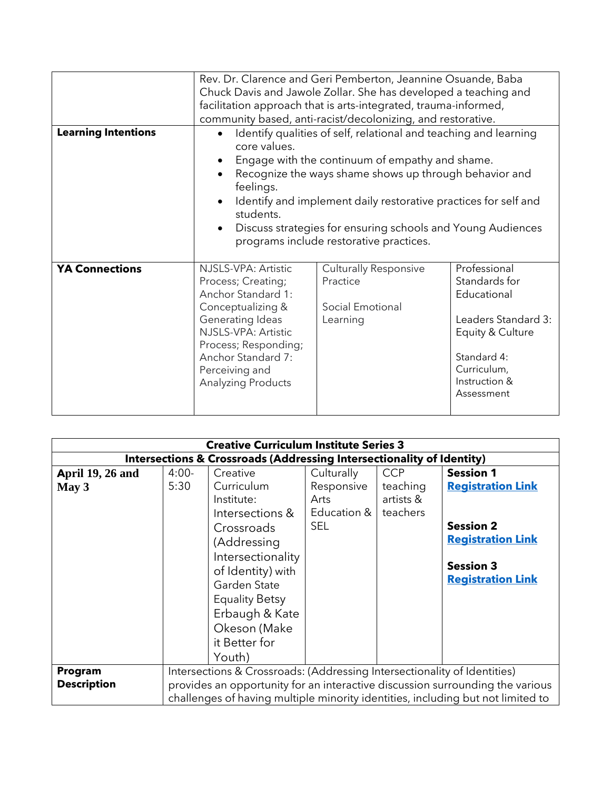|                            | Rev. Dr. Clarence and Geri Pemberton, Jeannine Osuande, Baba<br>Chuck Davis and Jawole Zollar. She has developed a teaching and<br>facilitation approach that is arts-integrated, trauma-informed,<br>community based, anti-racist/decolonizing, and restorative.                                                                                                                                    |                                                                          |                                                                                                                                                      |  |  |
|----------------------------|------------------------------------------------------------------------------------------------------------------------------------------------------------------------------------------------------------------------------------------------------------------------------------------------------------------------------------------------------------------------------------------------------|--------------------------------------------------------------------------|------------------------------------------------------------------------------------------------------------------------------------------------------|--|--|
| <b>Learning Intentions</b> | Identify qualities of self, relational and teaching and learning<br>core values.<br>Engage with the continuum of empathy and shame.<br>Recognize the ways shame shows up through behavior and<br>feelings.<br>Identify and implement daily restorative practices for self and<br>students.<br>Discuss strategies for ensuring schools and Young Audiences<br>programs include restorative practices. |                                                                          |                                                                                                                                                      |  |  |
| <b>YA Connections</b>      | NJSLS-VPA: Artistic<br>Process; Creating;<br>Anchor Standard 1:<br>Conceptualizing &<br>Generating Ideas<br>NJSLS-VPA: Artistic<br>Process; Responding;<br>Anchor Standard 7:<br>Perceiving and<br><b>Analyzing Products</b>                                                                                                                                                                         | <b>Culturally Responsive</b><br>Practice<br>Social Emotional<br>Learning | Professional<br>Standards for<br>Educational<br>Leaders Standard 3:<br>Equity & Culture<br>Standard 4:<br>Curriculum,<br>Instruction &<br>Assessment |  |  |

| <b>Creative Curriculum Institute Series 3</b>                                    |                                                                                                                                                                                                                                              |                                                                                                                                                                                                                            |                                                               |                                                 |                                                                                                                                              |  |
|----------------------------------------------------------------------------------|----------------------------------------------------------------------------------------------------------------------------------------------------------------------------------------------------------------------------------------------|----------------------------------------------------------------------------------------------------------------------------------------------------------------------------------------------------------------------------|---------------------------------------------------------------|-------------------------------------------------|----------------------------------------------------------------------------------------------------------------------------------------------|--|
| <b>Intersections &amp; Crossroads (Addressing Intersectionality of Identity)</b> |                                                                                                                                                                                                                                              |                                                                                                                                                                                                                            |                                                               |                                                 |                                                                                                                                              |  |
| <b>April 19, 26 and</b><br>May 3                                                 | $4:00-$<br>5:30                                                                                                                                                                                                                              | Creative<br>Curriculum<br>Institute:<br>Intersections &<br>Crossroads<br>(Addressing<br>Intersectionality<br>of Identity) with<br>Garden State<br><b>Equality Betsy</b><br>Erbaugh & Kate<br>Okeson (Make<br>it Better for | Culturally<br>Responsive<br>Arts<br>Education &<br><b>SEL</b> | <b>CCP</b><br>teaching<br>artists &<br>teachers | <b>Session 1</b><br><b>Registration Link</b><br><b>Session 2</b><br><b>Registration Link</b><br><b>Session 3</b><br><b>Registration Link</b> |  |
|                                                                                  |                                                                                                                                                                                                                                              | Youth)                                                                                                                                                                                                                     |                                                               |                                                 |                                                                                                                                              |  |
| Program<br><b>Description</b>                                                    | Intersections & Crossroads: (Addressing Intersectionality of Identities)<br>provides an opportunity for an interactive discussion surrounding the various<br>challenges of having multiple minority identities, including but not limited to |                                                                                                                                                                                                                            |                                                               |                                                 |                                                                                                                                              |  |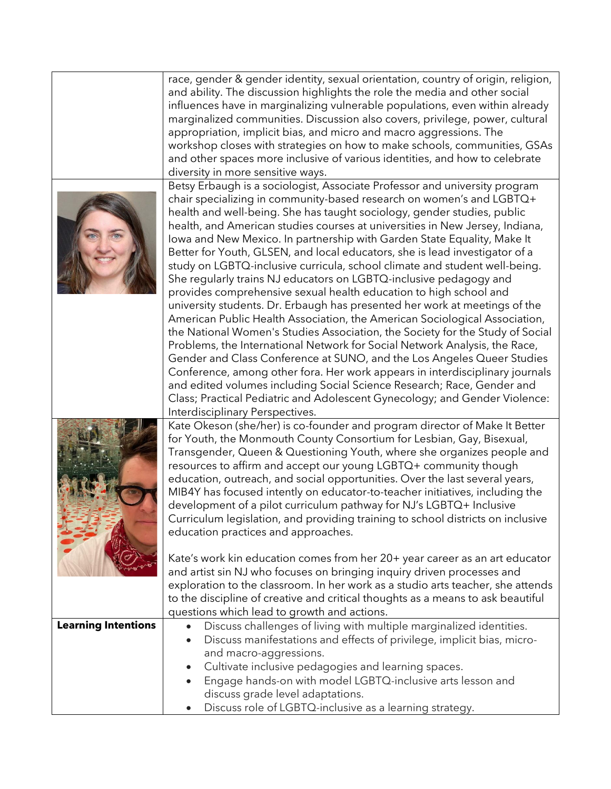|                            | race, gender & gender identity, sexual orientation, country of origin, religion,<br>and ability. The discussion highlights the role the media and other social |  |  |  |  |
|----------------------------|----------------------------------------------------------------------------------------------------------------------------------------------------------------|--|--|--|--|
|                            | influences have in marginalizing vulnerable populations, even within already                                                                                   |  |  |  |  |
|                            | marginalized communities. Discussion also covers, privilege, power, cultural                                                                                   |  |  |  |  |
|                            | appropriation, implicit bias, and micro and macro aggressions. The                                                                                             |  |  |  |  |
|                            | workshop closes with strategies on how to make schools, communities, GSAs                                                                                      |  |  |  |  |
|                            | and other spaces more inclusive of various identities, and how to celebrate                                                                                    |  |  |  |  |
|                            | diversity in more sensitive ways.                                                                                                                              |  |  |  |  |
|                            | Betsy Erbaugh is a sociologist, Associate Professor and university program                                                                                     |  |  |  |  |
|                            | chair specializing in community-based research on women's and LGBTQ+                                                                                           |  |  |  |  |
|                            | health and well-being. She has taught sociology, gender studies, public                                                                                        |  |  |  |  |
|                            | health, and American studies courses at universities in New Jersey, Indiana,                                                                                   |  |  |  |  |
|                            | Iowa and New Mexico. In partnership with Garden State Equality, Make It                                                                                        |  |  |  |  |
|                            | Better for Youth, GLSEN, and local educators, she is lead investigator of a<br>study on LGBTQ-inclusive curricula, school climate and student well-being.      |  |  |  |  |
|                            | She regularly trains NJ educators on LGBTQ-inclusive pedagogy and                                                                                              |  |  |  |  |
|                            | provides comprehensive sexual health education to high school and                                                                                              |  |  |  |  |
|                            | university students. Dr. Erbaugh has presented her work at meetings of the                                                                                     |  |  |  |  |
|                            | American Public Health Association, the American Sociological Association,                                                                                     |  |  |  |  |
|                            | the National Women's Studies Association, the Society for the Study of Social                                                                                  |  |  |  |  |
|                            | Problems, the International Network for Social Network Analysis, the Race,                                                                                     |  |  |  |  |
|                            | Gender and Class Conference at SUNO, and the Los Angeles Queer Studies                                                                                         |  |  |  |  |
|                            | Conference, among other fora. Her work appears in interdisciplinary journals                                                                                   |  |  |  |  |
|                            | and edited volumes including Social Science Research; Race, Gender and                                                                                         |  |  |  |  |
|                            | Class; Practical Pediatric and Adolescent Gynecology; and Gender Violence:                                                                                     |  |  |  |  |
|                            | Interdisciplinary Perspectives.                                                                                                                                |  |  |  |  |
|                            | Kate Okeson (she/her) is co-founder and program director of Make It Better                                                                                     |  |  |  |  |
|                            | for Youth, the Monmouth County Consortium for Lesbian, Gay, Bisexual,                                                                                          |  |  |  |  |
|                            | Transgender, Queen & Questioning Youth, where she organizes people and                                                                                         |  |  |  |  |
|                            | resources to affirm and accept our young LGBTQ+ community though                                                                                               |  |  |  |  |
|                            | education, outreach, and social opportunities. Over the last several years,<br>MIB4Y has focused intently on educator-to-teacher initiatives, including the    |  |  |  |  |
|                            | development of a pilot curriculum pathway for NJ's LGBTQ+ Inclusive                                                                                            |  |  |  |  |
|                            | Curriculum legislation, and providing training to school districts on inclusive                                                                                |  |  |  |  |
|                            | education practices and approaches.                                                                                                                            |  |  |  |  |
|                            |                                                                                                                                                                |  |  |  |  |
|                            | Kate's work kin education comes from her 20+ year career as an art educator                                                                                    |  |  |  |  |
|                            | and artist sin NJ who focuses on bringing inquiry driven processes and                                                                                         |  |  |  |  |
|                            | exploration to the classroom. In her work as a studio arts teacher, she attends                                                                                |  |  |  |  |
|                            | to the discipline of creative and critical thoughts as a means to ask beautiful                                                                                |  |  |  |  |
|                            | questions which lead to growth and actions.                                                                                                                    |  |  |  |  |
| <b>Learning Intentions</b> | Discuss challenges of living with multiple marginalized identities.                                                                                            |  |  |  |  |
|                            | Discuss manifestations and effects of privilege, implicit bias, micro-                                                                                         |  |  |  |  |
|                            | and macro-aggressions.                                                                                                                                         |  |  |  |  |
|                            | Cultivate inclusive pedagogies and learning spaces.                                                                                                            |  |  |  |  |
|                            | Engage hands-on with model LGBTQ-inclusive arts lesson and                                                                                                     |  |  |  |  |
|                            | discuss grade level adaptations.<br>Discuss role of LGBTQ-inclusive as a learning strategy.                                                                    |  |  |  |  |
|                            |                                                                                                                                                                |  |  |  |  |